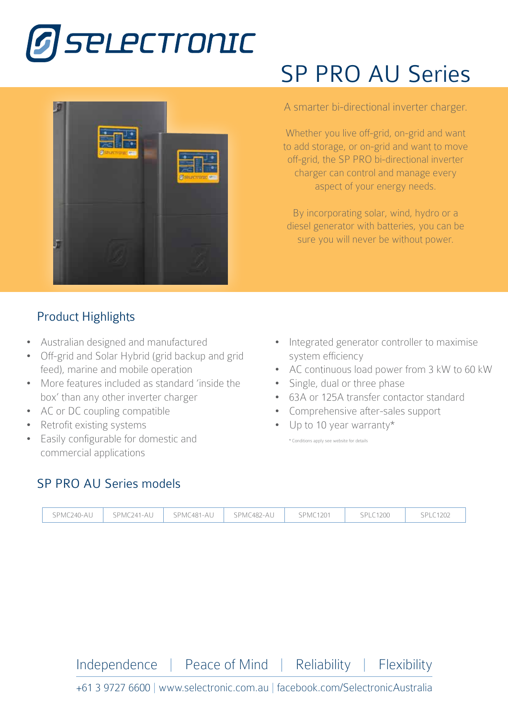



## Product Highlights

- Australian designed and manufactured
- Off-grid and Solar Hybrid (grid backup and grid feed), marine and mobile operation
- More features included as standard 'inside the box' than any other inverter charger
- AC or DC coupling compatible
- Retrofit existing systems
- Easily configurable for domestic and commercial applications

# SP PRO AU Series

#### A smarter bi-directional inverter charger.

Whether you live off-grid, on-grid and want SPMC<sup>24</sup> to add storage, or on-grid and want to move off-grid, the SP PRO bi-directional inverter s control charger can control and manage every aspect of your energy needs.

By incorporating solar, wind, hydro or a diesel generator with batteries, you can be sure you will never be without power.

- Integrated generator controller to maximise system efficiency
- AC continuous load power from 3 kW to 60 kW
- Single, dual or three phase
- 63A or 125A transfer contactor standard
- Comprehensive after-sales support
- Up to 10 year warranty\*

\* Conditions apply see website for details

### SP PRO AU Series models



Independence | Peace of Mind | Reliability | Flexibility

+61 3 9727 6600 | www.selectronic.com.au | facebook.com/SelectronicAustralia